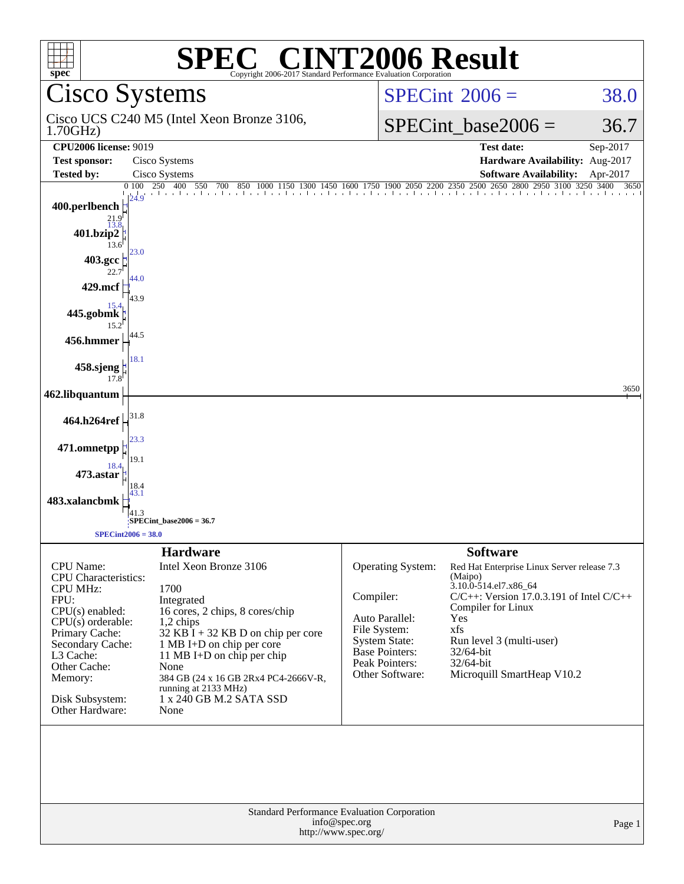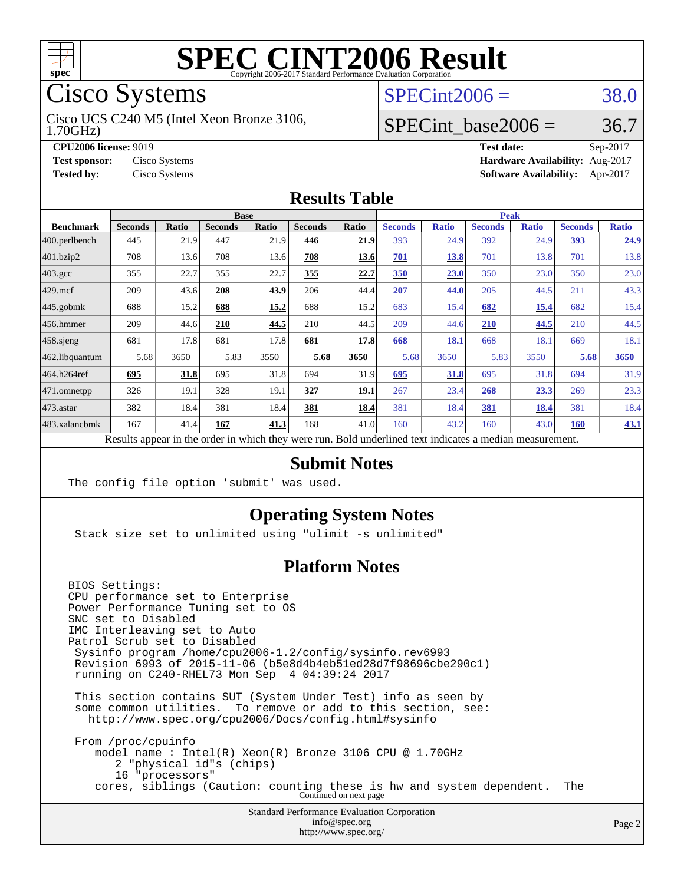

## Cisco Systems

1.70GHz) Cisco UCS C240 M5 (Intel Xeon Bronze 3106,

 $SPECint2006 = 38.0$  $SPECint2006 = 38.0$ 

### SPECint base2006 =  $36.7$

**[CPU2006 license:](http://www.spec.org/auto/cpu2006/Docs/result-fields.html#CPU2006license)** 9019 **[Test date:](http://www.spec.org/auto/cpu2006/Docs/result-fields.html#Testdate)** Sep-2017 **[Test sponsor:](http://www.spec.org/auto/cpu2006/Docs/result-fields.html#Testsponsor)** Cisco Systems **[Hardware Availability:](http://www.spec.org/auto/cpu2006/Docs/result-fields.html#HardwareAvailability)** Aug-2017 **[Tested by:](http://www.spec.org/auto/cpu2006/Docs/result-fields.html#Testedby)** Cisco Systems **[Software Availability:](http://www.spec.org/auto/cpu2006/Docs/result-fields.html#SoftwareAvailability)** Apr-2017

#### **[Results Table](http://www.spec.org/auto/cpu2006/Docs/result-fields.html#ResultsTable)**

|                                                                                                          | <b>Base</b>    |              |                |       | <b>Peak</b>    |             |                |              |                |              |                |              |
|----------------------------------------------------------------------------------------------------------|----------------|--------------|----------------|-------|----------------|-------------|----------------|--------------|----------------|--------------|----------------|--------------|
| <b>Benchmark</b>                                                                                         | <b>Seconds</b> | <b>Ratio</b> | <b>Seconds</b> | Ratio | <b>Seconds</b> | Ratio       | <b>Seconds</b> | <b>Ratio</b> | <b>Seconds</b> | <b>Ratio</b> | <b>Seconds</b> | <b>Ratio</b> |
| 400.perlbench                                                                                            | 445            | 21.9         | 447            | 21.9  | 446            | 21.9        | 393            | 24.9         | 392            | 24.9         | 393            | 24.9         |
| 401.bzip2                                                                                                | 708            | 13.6         | 708            | 13.6  | 708            | <u>13.6</u> | 701            | 13.8         | 701            | 13.8         | 701            | 13.8         |
| $403.\mathrm{gcc}$                                                                                       | 355            | 22.7         | 355            | 22.7  | 355            | 22.7        | 350            | 23.0         | 350            | 23.0         | 350            | 23.0         |
| $429$ mcf                                                                                                | 209            | 43.6         | 208            | 43.9  | 206            | 44.4        | 207            | 44.0         | 205            | 44.5         | 211            | 43.3         |
| $445$ .gobmk                                                                                             | 688            | 15.2         | 688            | 15.2  | 688            | 15.2        | 683            | 15.4         | 682            | 15.4         | 682            | 15.4         |
| $456.$ hmmer                                                                                             | 209            | 44.6         | 210            | 44.5  | 210            | 44.5        | 209            | 44.6         | 210            | 44.5         | 210            | 44.5         |
| $ 458 \text{.}$ sjeng                                                                                    | 681            | 17.8         | 681            | 17.8  | 681            | 17.8        | 668            | 18.1         | 668            | 18.1         | 669            | 18.1         |
| 462.libquantum                                                                                           | 5.68           | 3650         | 5.83           | 3550  | 5.68           | 3650        | 5.68           | 3650         | 5.83           | 3550         | 5.68           | 3650         |
| 464.h264ref                                                                                              | 695            | 31.8         | 695            | 31.8  | 694            | 31.9        | 695            | 31.8         | 695            | 31.8         | 694            | 31.9         |
| $ 471$ .omnetpp                                                                                          | 326            | 19.1         | 328            | 19.1  | 327            | 19.1        | 267            | 23.4         | 268            | 23.3         | 269            | 23.3         |
| $473$ . astar                                                                                            | 382            | 18.4         | 381            | 18.4  | 381            | 18.4        | 381            | 18.4         | 381            | 18.4         | 381            | 18.4         |
| 483.xalancbmk                                                                                            | 167            | 41.4         | 167            | 41.3  | 168            | 41.0        | 160            | 43.2         | 160            | 43.0         | <b>160</b>     | 43.1         |
| Results appear in the order in which they were run. Bold underlined text indicates a median measurement. |                |              |                |       |                |             |                |              |                |              |                |              |

#### **[Submit Notes](http://www.spec.org/auto/cpu2006/Docs/result-fields.html#SubmitNotes)**

The config file option 'submit' was used.

### **[Operating System Notes](http://www.spec.org/auto/cpu2006/Docs/result-fields.html#OperatingSystemNotes)**

Stack size set to unlimited using "ulimit -s unlimited"

### **[Platform Notes](http://www.spec.org/auto/cpu2006/Docs/result-fields.html#PlatformNotes)**

BIOS Settings: CPU performance set to Enterprise Power Performance Tuning set to OS SNC set to Disabled IMC Interleaving set to Auto Patrol Scrub set to Disabled Sysinfo program /home/cpu2006-1.2/config/sysinfo.rev6993 Revision 6993 of 2015-11-06 (b5e8d4b4eb51ed28d7f98696cbe290c1) running on C240-RHEL73 Mon Sep 4 04:39:24 2017 This section contains SUT (System Under Test) info as seen by some common utilities. To remove or add to this section, see: <http://www.spec.org/cpu2006/Docs/config.html#sysinfo> From /proc/cpuinfo model name : Intel(R) Xeon(R) Bronze 3106 CPU @ 1.70GHz 2 "physical id"s (chips) 16 "processors"

cores, siblings (Caution: counting these is hw and system dependent. The Continued on next page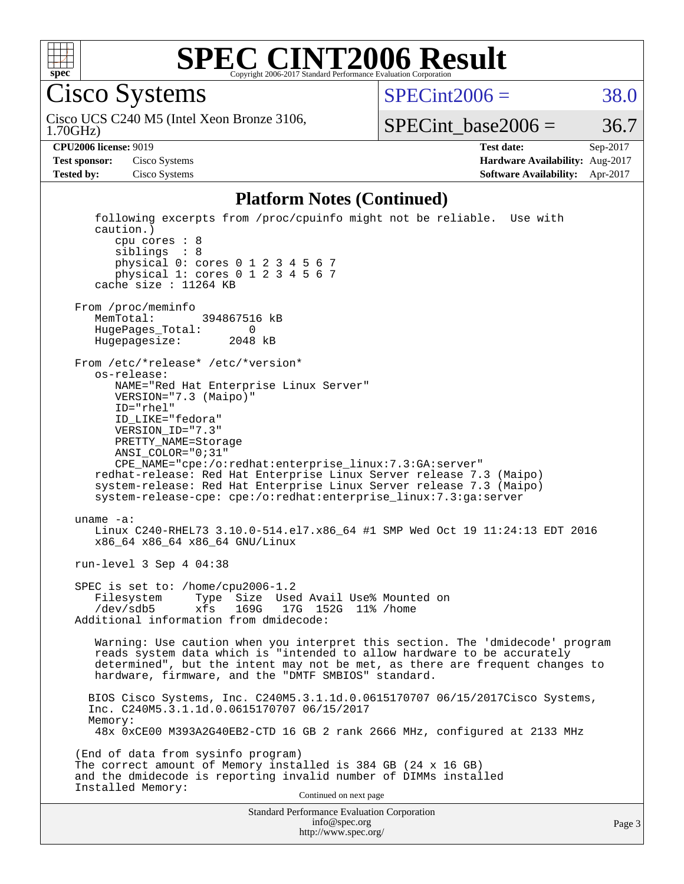

SP

 $SPECTnt2006 = 38.0$ 

1.70GHz) Cisco UCS C240 M5 (Intel Xeon Bronze 3106,

 $SPECTnt\_base2006 = 36.7$ 

**[CPU2006 license:](http://www.spec.org/auto/cpu2006/Docs/result-fields.html#CPU2006license)** 9019 **[Test date:](http://www.spec.org/auto/cpu2006/Docs/result-fields.html#Testdate)** Sep-2017 **[Test sponsor:](http://www.spec.org/auto/cpu2006/Docs/result-fields.html#Testsponsor)** Cisco Systems **[Hardware Availability:](http://www.spec.org/auto/cpu2006/Docs/result-fields.html#HardwareAvailability)** Aug-2017 **[Tested by:](http://www.spec.org/auto/cpu2006/Docs/result-fields.html#Testedby)** Cisco Systems **[Software Availability:](http://www.spec.org/auto/cpu2006/Docs/result-fields.html#SoftwareAvailability)** Apr-2017

#### **[Platform Notes \(Continued\)](http://www.spec.org/auto/cpu2006/Docs/result-fields.html#PlatformNotes)**

| Standard Performance Evaluation Corporation<br>info@spec.org<br>http://www.spec.org/                                                                                                                                                                                                                                                                                                                                                                                                                       | Page 3 |
|------------------------------------------------------------------------------------------------------------------------------------------------------------------------------------------------------------------------------------------------------------------------------------------------------------------------------------------------------------------------------------------------------------------------------------------------------------------------------------------------------------|--------|
| Installed Memory:<br>Continued on next page                                                                                                                                                                                                                                                                                                                                                                                                                                                                |        |
| (End of data from sysinfo program)<br>The correct amount of Memory installed is 384 GB (24 x 16 GB)<br>and the dmidecode is reporting invalid number of DIMMs installed                                                                                                                                                                                                                                                                                                                                    |        |
| BIOS Cisco Systems, Inc. C240M5.3.1.1d.0.0615170707 06/15/2017Cisco Systems,<br>Inc. C240M5.3.1.1d.0.0615170707 06/15/2017<br>Memory:<br>48x 0xCE00 M393A2G40EB2-CTD 16 GB 2 rank 2666 MHz, configured at 2133 MHz                                                                                                                                                                                                                                                                                         |        |
| Warning: Use caution when you interpret this section. The 'dmidecode' program<br>reads system data which is "intended to allow hardware to be accurately<br>determined", but the intent may not be met, as there are frequent changes to<br>hardware, firmware, and the "DMTF SMBIOS" standard.                                                                                                                                                                                                            |        |
| SPEC is set to: /home/cpu2006-1.2<br>Filesystem<br>Type Size Used Avail Use% Mounted on<br>xfs 169G 17G 152G 11% / home<br>/dev/sdb5<br>Additional information from dmidecode:                                                                                                                                                                                                                                                                                                                             |        |
| run-level 3 Sep 4 04:38                                                                                                                                                                                                                                                                                                                                                                                                                                                                                    |        |
| uname $-a$ :<br>Linux C240-RHEL73 3.10.0-514.el7.x86_64 #1 SMP Wed Oct 19 11:24:13 EDT 2016<br>x86_64 x86_64 x86_64 GNU/Linux                                                                                                                                                                                                                                                                                                                                                                              |        |
| From /etc/*release* /etc/*version*<br>os-release:<br>NAME="Red Hat Enterprise Linux Server"<br>VERSION="7.3 (Maipo)"<br>$ID="rhe1"$<br>ID LIKE="fedora"<br>VERSION ID="7.3"<br>PRETTY NAME=Storage<br>$ANSI\_COLOR = "0; 31"$<br>CPE_NAME="cpe:/o:redhat:enterprise_linux:7.3:GA:server"<br>redhat-release: Red Hat Enterprise Linux Server release 7.3 (Maipo)<br>system-release: Red Hat Enterprise Linux Server release 7.3 (Maipo)<br>system-release-cpe: cpe:/o:redhat:enterprise linux:7.3:qa:server |        |
| From /proc/meminfo<br>MemTotal:<br>394867516 kB<br>HugePages_Total: 0<br>Hugepagesize: 2048 kB                                                                                                                                                                                                                                                                                                                                                                                                             |        |
| following excerpts from /proc/cpuinfo might not be reliable. Use with<br>caution.)<br>cpu cores : 8<br>siblings : 8<br>physical 0: cores 0 1 2 3 4 5 6 7<br>physical 1: cores 0 1 2 3 4 5 6 7<br>cache size : 11264 KB                                                                                                                                                                                                                                                                                     |        |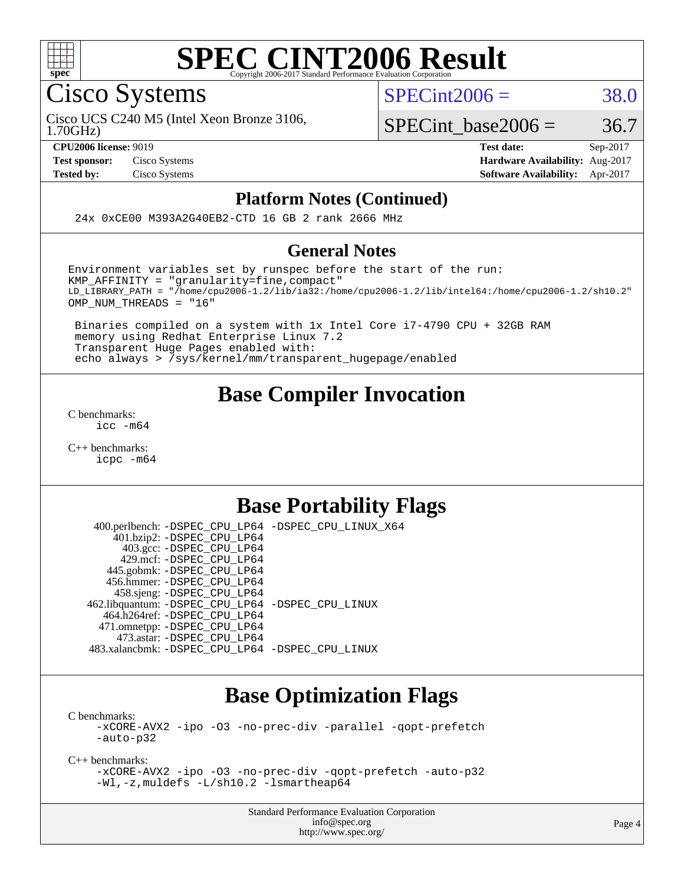

#### **[SPEC CINT2006 Result](http://www.spec.org/auto/cpu2006/Docs/result-fields.html#SPECCINT2006Result)** Copyright 2006-2017 Standard Performance Evaluation C

Cisco Systems

 $SPECint2006 = 38.0$  $SPECint2006 = 38.0$ 

1.70GHz) Cisco UCS C240 M5 (Intel Xeon Bronze 3106,

SPECint base2006 =  $36.7$ 

**[CPU2006 license:](http://www.spec.org/auto/cpu2006/Docs/result-fields.html#CPU2006license)** 9019 **[Test date:](http://www.spec.org/auto/cpu2006/Docs/result-fields.html#Testdate)** Sep-2017 **[Test sponsor:](http://www.spec.org/auto/cpu2006/Docs/result-fields.html#Testsponsor)** Cisco Systems **[Hardware Availability:](http://www.spec.org/auto/cpu2006/Docs/result-fields.html#HardwareAvailability)** Aug-2017 **[Tested by:](http://www.spec.org/auto/cpu2006/Docs/result-fields.html#Testedby)** Cisco Systems **[Software Availability:](http://www.spec.org/auto/cpu2006/Docs/result-fields.html#SoftwareAvailability)** Apr-2017

#### **[Platform Notes \(Continued\)](http://www.spec.org/auto/cpu2006/Docs/result-fields.html#PlatformNotes)**

24x 0xCE00 M393A2G40EB2-CTD 16 GB 2 rank 2666 MHz

#### **[General Notes](http://www.spec.org/auto/cpu2006/Docs/result-fields.html#GeneralNotes)**

Environment variables set by runspec before the start of the run: KMP\_AFFINITY = "granularity=fine,compact" LD\_LIBRARY\_PATH = "/home/cpu2006-1.2/lib/ia32:/home/cpu2006-1.2/lib/intel64:/home/cpu2006-1.2/sh10.2" OMP NUM THREADS = "16"

 Binaries compiled on a system with 1x Intel Core i7-4790 CPU + 32GB RAM memory using Redhat Enterprise Linux 7.2 Transparent Huge Pages enabled with: echo always > /sys/kernel/mm/transparent\_hugepage/enabled

## **[Base Compiler Invocation](http://www.spec.org/auto/cpu2006/Docs/result-fields.html#BaseCompilerInvocation)**

[C benchmarks](http://www.spec.org/auto/cpu2006/Docs/result-fields.html#Cbenchmarks): [icc -m64](http://www.spec.org/cpu2006/results/res2017q4/cpu2006-20170919-50240.flags.html#user_CCbase_intel_icc_64bit_bda6cc9af1fdbb0edc3795bac97ada53)

[C++ benchmarks:](http://www.spec.org/auto/cpu2006/Docs/result-fields.html#CXXbenchmarks) [icpc -m64](http://www.spec.org/cpu2006/results/res2017q4/cpu2006-20170919-50240.flags.html#user_CXXbase_intel_icpc_64bit_fc66a5337ce925472a5c54ad6a0de310)

## **[Base Portability Flags](http://www.spec.org/auto/cpu2006/Docs/result-fields.html#BasePortabilityFlags)**

 400.perlbench: [-DSPEC\\_CPU\\_LP64](http://www.spec.org/cpu2006/results/res2017q4/cpu2006-20170919-50240.flags.html#b400.perlbench_basePORTABILITY_DSPEC_CPU_LP64) [-DSPEC\\_CPU\\_LINUX\\_X64](http://www.spec.org/cpu2006/results/res2017q4/cpu2006-20170919-50240.flags.html#b400.perlbench_baseCPORTABILITY_DSPEC_CPU_LINUX_X64) 401.bzip2: [-DSPEC\\_CPU\\_LP64](http://www.spec.org/cpu2006/results/res2017q4/cpu2006-20170919-50240.flags.html#suite_basePORTABILITY401_bzip2_DSPEC_CPU_LP64) 403.gcc: [-DSPEC\\_CPU\\_LP64](http://www.spec.org/cpu2006/results/res2017q4/cpu2006-20170919-50240.flags.html#suite_basePORTABILITY403_gcc_DSPEC_CPU_LP64) 429.mcf: [-DSPEC\\_CPU\\_LP64](http://www.spec.org/cpu2006/results/res2017q4/cpu2006-20170919-50240.flags.html#suite_basePORTABILITY429_mcf_DSPEC_CPU_LP64) 445.gobmk: [-DSPEC\\_CPU\\_LP64](http://www.spec.org/cpu2006/results/res2017q4/cpu2006-20170919-50240.flags.html#suite_basePORTABILITY445_gobmk_DSPEC_CPU_LP64) 456.hmmer: [-DSPEC\\_CPU\\_LP64](http://www.spec.org/cpu2006/results/res2017q4/cpu2006-20170919-50240.flags.html#suite_basePORTABILITY456_hmmer_DSPEC_CPU_LP64) 458.sjeng: [-DSPEC\\_CPU\\_LP64](http://www.spec.org/cpu2006/results/res2017q4/cpu2006-20170919-50240.flags.html#suite_basePORTABILITY458_sjeng_DSPEC_CPU_LP64) 462.libquantum: [-DSPEC\\_CPU\\_LP64](http://www.spec.org/cpu2006/results/res2017q4/cpu2006-20170919-50240.flags.html#suite_basePORTABILITY462_libquantum_DSPEC_CPU_LP64) [-DSPEC\\_CPU\\_LINUX](http://www.spec.org/cpu2006/results/res2017q4/cpu2006-20170919-50240.flags.html#b462.libquantum_baseCPORTABILITY_DSPEC_CPU_LINUX) 464.h264ref: [-DSPEC\\_CPU\\_LP64](http://www.spec.org/cpu2006/results/res2017q4/cpu2006-20170919-50240.flags.html#suite_basePORTABILITY464_h264ref_DSPEC_CPU_LP64) 471.omnetpp: [-DSPEC\\_CPU\\_LP64](http://www.spec.org/cpu2006/results/res2017q4/cpu2006-20170919-50240.flags.html#suite_basePORTABILITY471_omnetpp_DSPEC_CPU_LP64) 473.astar: [-DSPEC\\_CPU\\_LP64](http://www.spec.org/cpu2006/results/res2017q4/cpu2006-20170919-50240.flags.html#suite_basePORTABILITY473_astar_DSPEC_CPU_LP64) 483.xalancbmk: [-DSPEC\\_CPU\\_LP64](http://www.spec.org/cpu2006/results/res2017q4/cpu2006-20170919-50240.flags.html#suite_basePORTABILITY483_xalancbmk_DSPEC_CPU_LP64) [-DSPEC\\_CPU\\_LINUX](http://www.spec.org/cpu2006/results/res2017q4/cpu2006-20170919-50240.flags.html#b483.xalancbmk_baseCXXPORTABILITY_DSPEC_CPU_LINUX)

## **[Base Optimization Flags](http://www.spec.org/auto/cpu2006/Docs/result-fields.html#BaseOptimizationFlags)**

[C benchmarks](http://www.spec.org/auto/cpu2006/Docs/result-fields.html#Cbenchmarks): [-xCORE-AVX2](http://www.spec.org/cpu2006/results/res2017q4/cpu2006-20170919-50240.flags.html#user_CCbase_f-xCORE-AVX2) [-ipo](http://www.spec.org/cpu2006/results/res2017q4/cpu2006-20170919-50240.flags.html#user_CCbase_f-ipo) [-O3](http://www.spec.org/cpu2006/results/res2017q4/cpu2006-20170919-50240.flags.html#user_CCbase_f-O3) [-no-prec-div](http://www.spec.org/cpu2006/results/res2017q4/cpu2006-20170919-50240.flags.html#user_CCbase_f-no-prec-div) [-parallel](http://www.spec.org/cpu2006/results/res2017q4/cpu2006-20170919-50240.flags.html#user_CCbase_f-parallel) [-qopt-prefetch](http://www.spec.org/cpu2006/results/res2017q4/cpu2006-20170919-50240.flags.html#user_CCbase_f-qopt-prefetch) [-auto-p32](http://www.spec.org/cpu2006/results/res2017q4/cpu2006-20170919-50240.flags.html#user_CCbase_f-auto-p32)

[C++ benchmarks:](http://www.spec.org/auto/cpu2006/Docs/result-fields.html#CXXbenchmarks)

[-xCORE-AVX2](http://www.spec.org/cpu2006/results/res2017q4/cpu2006-20170919-50240.flags.html#user_CXXbase_f-xCORE-AVX2) [-ipo](http://www.spec.org/cpu2006/results/res2017q4/cpu2006-20170919-50240.flags.html#user_CXXbase_f-ipo) [-O3](http://www.spec.org/cpu2006/results/res2017q4/cpu2006-20170919-50240.flags.html#user_CXXbase_f-O3) [-no-prec-div](http://www.spec.org/cpu2006/results/res2017q4/cpu2006-20170919-50240.flags.html#user_CXXbase_f-no-prec-div) [-qopt-prefetch](http://www.spec.org/cpu2006/results/res2017q4/cpu2006-20170919-50240.flags.html#user_CXXbase_f-qopt-prefetch) [-auto-p32](http://www.spec.org/cpu2006/results/res2017q4/cpu2006-20170919-50240.flags.html#user_CXXbase_f-auto-p32) [-Wl,-z,muldefs](http://www.spec.org/cpu2006/results/res2017q4/cpu2006-20170919-50240.flags.html#user_CXXbase_link_force_multiple1_74079c344b956b9658436fd1b6dd3a8a) [-L/sh10.2 -lsmartheap64](http://www.spec.org/cpu2006/results/res2017q4/cpu2006-20170919-50240.flags.html#user_CXXbase_SmartHeap64_63911d860fc08c15fa1d5bf319b9d8d5)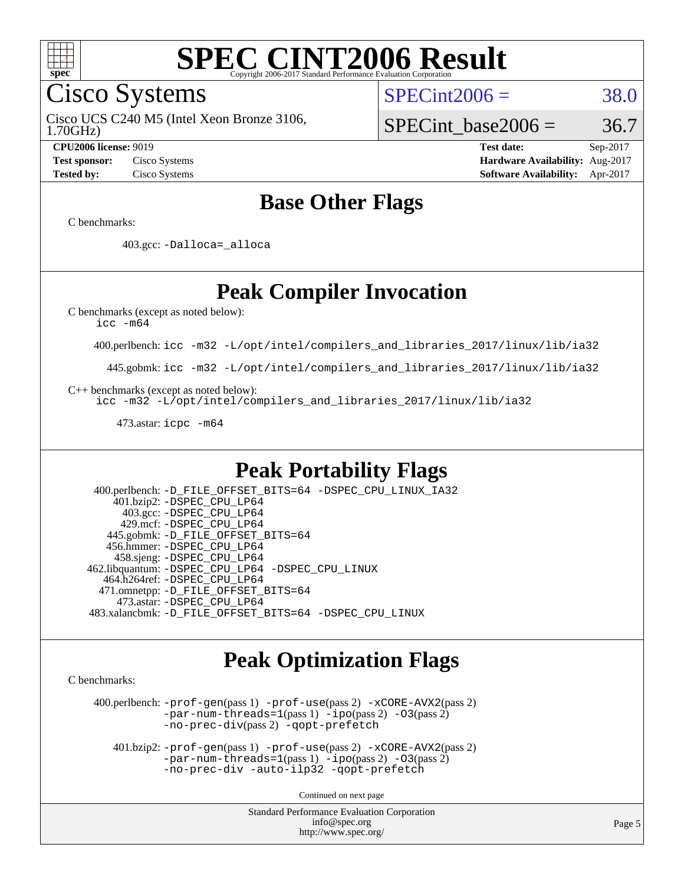

Cisco Systems

 $SPECint2006 = 38.0$  $SPECint2006 = 38.0$ 

1.70GHz) Cisco UCS C240 M5 (Intel Xeon Bronze 3106,

SPECint base2006 =  $36.7$ 

**[CPU2006 license:](http://www.spec.org/auto/cpu2006/Docs/result-fields.html#CPU2006license)** 9019 **[Test date:](http://www.spec.org/auto/cpu2006/Docs/result-fields.html#Testdate)** Sep-2017 **[Test sponsor:](http://www.spec.org/auto/cpu2006/Docs/result-fields.html#Testsponsor)** Cisco Systems **[Hardware Availability:](http://www.spec.org/auto/cpu2006/Docs/result-fields.html#HardwareAvailability)** Aug-2017 **[Tested by:](http://www.spec.org/auto/cpu2006/Docs/result-fields.html#Testedby)** Cisco Systems **[Software Availability:](http://www.spec.org/auto/cpu2006/Docs/result-fields.html#SoftwareAvailability)** Apr-2017

## **[Base Other Flags](http://www.spec.org/auto/cpu2006/Docs/result-fields.html#BaseOtherFlags)**

[C benchmarks](http://www.spec.org/auto/cpu2006/Docs/result-fields.html#Cbenchmarks):

403.gcc: [-Dalloca=\\_alloca](http://www.spec.org/cpu2006/results/res2017q4/cpu2006-20170919-50240.flags.html#b403.gcc_baseEXTRA_CFLAGS_Dalloca_be3056838c12de2578596ca5467af7f3)

## **[Peak Compiler Invocation](http://www.spec.org/auto/cpu2006/Docs/result-fields.html#PeakCompilerInvocation)**

[C benchmarks \(except as noted below\)](http://www.spec.org/auto/cpu2006/Docs/result-fields.html#Cbenchmarksexceptasnotedbelow):

[icc -m64](http://www.spec.org/cpu2006/results/res2017q4/cpu2006-20170919-50240.flags.html#user_CCpeak_intel_icc_64bit_bda6cc9af1fdbb0edc3795bac97ada53)

400.perlbench: [icc -m32 -L/opt/intel/compilers\\_and\\_libraries\\_2017/linux/lib/ia32](http://www.spec.org/cpu2006/results/res2017q4/cpu2006-20170919-50240.flags.html#user_peakCCLD400_perlbench_intel_icc_c29f3ff5a7ed067b11e4ec10a03f03ae)

445.gobmk: [icc -m32 -L/opt/intel/compilers\\_and\\_libraries\\_2017/linux/lib/ia32](http://www.spec.org/cpu2006/results/res2017q4/cpu2006-20170919-50240.flags.html#user_peakCCLD445_gobmk_intel_icc_c29f3ff5a7ed067b11e4ec10a03f03ae)

[C++ benchmarks \(except as noted below\):](http://www.spec.org/auto/cpu2006/Docs/result-fields.html#CXXbenchmarksexceptasnotedbelow)

[icc -m32 -L/opt/intel/compilers\\_and\\_libraries\\_2017/linux/lib/ia32](http://www.spec.org/cpu2006/results/res2017q4/cpu2006-20170919-50240.flags.html#user_CXXpeak_intel_icc_c29f3ff5a7ed067b11e4ec10a03f03ae)

473.astar: [icpc -m64](http://www.spec.org/cpu2006/results/res2017q4/cpu2006-20170919-50240.flags.html#user_peakCXXLD473_astar_intel_icpc_64bit_fc66a5337ce925472a5c54ad6a0de310)

## **[Peak Portability Flags](http://www.spec.org/auto/cpu2006/Docs/result-fields.html#PeakPortabilityFlags)**

 400.perlbench: [-D\\_FILE\\_OFFSET\\_BITS=64](http://www.spec.org/cpu2006/results/res2017q4/cpu2006-20170919-50240.flags.html#user_peakPORTABILITY400_perlbench_file_offset_bits_64_438cf9856305ebd76870a2c6dc2689ab) [-DSPEC\\_CPU\\_LINUX\\_IA32](http://www.spec.org/cpu2006/results/res2017q4/cpu2006-20170919-50240.flags.html#b400.perlbench_peakCPORTABILITY_DSPEC_CPU_LINUX_IA32) 401.bzip2: [-DSPEC\\_CPU\\_LP64](http://www.spec.org/cpu2006/results/res2017q4/cpu2006-20170919-50240.flags.html#suite_peakPORTABILITY401_bzip2_DSPEC_CPU_LP64) 403.gcc: [-DSPEC\\_CPU\\_LP64](http://www.spec.org/cpu2006/results/res2017q4/cpu2006-20170919-50240.flags.html#suite_peakPORTABILITY403_gcc_DSPEC_CPU_LP64) 429.mcf: [-DSPEC\\_CPU\\_LP64](http://www.spec.org/cpu2006/results/res2017q4/cpu2006-20170919-50240.flags.html#suite_peakPORTABILITY429_mcf_DSPEC_CPU_LP64) 445.gobmk: [-D\\_FILE\\_OFFSET\\_BITS=64](http://www.spec.org/cpu2006/results/res2017q4/cpu2006-20170919-50240.flags.html#user_peakPORTABILITY445_gobmk_file_offset_bits_64_438cf9856305ebd76870a2c6dc2689ab) 456.hmmer: [-DSPEC\\_CPU\\_LP64](http://www.spec.org/cpu2006/results/res2017q4/cpu2006-20170919-50240.flags.html#suite_peakPORTABILITY456_hmmer_DSPEC_CPU_LP64) 458.sjeng: [-DSPEC\\_CPU\\_LP64](http://www.spec.org/cpu2006/results/res2017q4/cpu2006-20170919-50240.flags.html#suite_peakPORTABILITY458_sjeng_DSPEC_CPU_LP64) 462.libquantum: [-DSPEC\\_CPU\\_LP64](http://www.spec.org/cpu2006/results/res2017q4/cpu2006-20170919-50240.flags.html#suite_peakPORTABILITY462_libquantum_DSPEC_CPU_LP64) [-DSPEC\\_CPU\\_LINUX](http://www.spec.org/cpu2006/results/res2017q4/cpu2006-20170919-50240.flags.html#b462.libquantum_peakCPORTABILITY_DSPEC_CPU_LINUX) 464.h264ref: [-DSPEC\\_CPU\\_LP64](http://www.spec.org/cpu2006/results/res2017q4/cpu2006-20170919-50240.flags.html#suite_peakPORTABILITY464_h264ref_DSPEC_CPU_LP64) 471.omnetpp: [-D\\_FILE\\_OFFSET\\_BITS=64](http://www.spec.org/cpu2006/results/res2017q4/cpu2006-20170919-50240.flags.html#user_peakPORTABILITY471_omnetpp_file_offset_bits_64_438cf9856305ebd76870a2c6dc2689ab) 473.astar: [-DSPEC\\_CPU\\_LP64](http://www.spec.org/cpu2006/results/res2017q4/cpu2006-20170919-50240.flags.html#suite_peakPORTABILITY473_astar_DSPEC_CPU_LP64) 483.xalancbmk: [-D\\_FILE\\_OFFSET\\_BITS=64](http://www.spec.org/cpu2006/results/res2017q4/cpu2006-20170919-50240.flags.html#user_peakPORTABILITY483_xalancbmk_file_offset_bits_64_438cf9856305ebd76870a2c6dc2689ab) [-DSPEC\\_CPU\\_LINUX](http://www.spec.org/cpu2006/results/res2017q4/cpu2006-20170919-50240.flags.html#b483.xalancbmk_peakCXXPORTABILITY_DSPEC_CPU_LINUX)

## **[Peak Optimization Flags](http://www.spec.org/auto/cpu2006/Docs/result-fields.html#PeakOptimizationFlags)**

[C benchmarks](http://www.spec.org/auto/cpu2006/Docs/result-fields.html#Cbenchmarks):

 400.perlbench: [-prof-gen](http://www.spec.org/cpu2006/results/res2017q4/cpu2006-20170919-50240.flags.html#user_peakPASS1_CFLAGSPASS1_LDCFLAGS400_perlbench_prof_gen_e43856698f6ca7b7e442dfd80e94a8fc)(pass 1) [-prof-use](http://www.spec.org/cpu2006/results/res2017q4/cpu2006-20170919-50240.flags.html#user_peakPASS2_CFLAGSPASS2_LDCFLAGS400_perlbench_prof_use_bccf7792157ff70d64e32fe3e1250b55)(pass 2) [-xCORE-AVX2](http://www.spec.org/cpu2006/results/res2017q4/cpu2006-20170919-50240.flags.html#user_peakPASS2_CFLAGSPASS2_LDCFLAGS400_perlbench_f-xCORE-AVX2)(pass 2) [-par-num-threads=1](http://www.spec.org/cpu2006/results/res2017q4/cpu2006-20170919-50240.flags.html#user_peakPASS1_CFLAGSPASS1_LDCFLAGS400_perlbench_par_num_threads_786a6ff141b4e9e90432e998842df6c2)(pass 1) [-ipo](http://www.spec.org/cpu2006/results/res2017q4/cpu2006-20170919-50240.flags.html#user_peakPASS2_CFLAGSPASS2_LDCFLAGS400_perlbench_f-ipo)(pass 2) [-O3](http://www.spec.org/cpu2006/results/res2017q4/cpu2006-20170919-50240.flags.html#user_peakPASS2_CFLAGSPASS2_LDCFLAGS400_perlbench_f-O3)(pass 2) [-no-prec-div](http://www.spec.org/cpu2006/results/res2017q4/cpu2006-20170919-50240.flags.html#user_peakPASS2_CFLAGSPASS2_LDCFLAGS400_perlbench_f-no-prec-div)(pass 2) [-qopt-prefetch](http://www.spec.org/cpu2006/results/res2017q4/cpu2006-20170919-50240.flags.html#user_peakCOPTIMIZE400_perlbench_f-qopt-prefetch)

 401.bzip2: [-prof-gen](http://www.spec.org/cpu2006/results/res2017q4/cpu2006-20170919-50240.flags.html#user_peakPASS1_CFLAGSPASS1_LDCFLAGS401_bzip2_prof_gen_e43856698f6ca7b7e442dfd80e94a8fc)(pass 1) [-prof-use](http://www.spec.org/cpu2006/results/res2017q4/cpu2006-20170919-50240.flags.html#user_peakPASS2_CFLAGSPASS2_LDCFLAGS401_bzip2_prof_use_bccf7792157ff70d64e32fe3e1250b55)(pass 2) [-xCORE-AVX2](http://www.spec.org/cpu2006/results/res2017q4/cpu2006-20170919-50240.flags.html#user_peakPASS2_CFLAGSPASS2_LDCFLAGS401_bzip2_f-xCORE-AVX2)(pass 2)  $-par-num-threads=1(pass 1) -ipo(pass 2) -O3(pass 2)$  $-par-num-threads=1(pass 1) -ipo(pass 2) -O3(pass 2)$  $-par-num-threads=1(pass 1) -ipo(pass 2) -O3(pass 2)$  $-par-num-threads=1(pass 1) -ipo(pass 2) -O3(pass 2)$  $-par-num-threads=1(pass 1) -ipo(pass 2) -O3(pass 2)$  $-par-num-threads=1(pass 1) -ipo(pass 2) -O3(pass 2)$ [-no-prec-div](http://www.spec.org/cpu2006/results/res2017q4/cpu2006-20170919-50240.flags.html#user_peakCOPTIMIZEPASS2_CFLAGSPASS2_LDCFLAGS401_bzip2_f-no-prec-div) [-auto-ilp32](http://www.spec.org/cpu2006/results/res2017q4/cpu2006-20170919-50240.flags.html#user_peakCOPTIMIZE401_bzip2_f-auto-ilp32) [-qopt-prefetch](http://www.spec.org/cpu2006/results/res2017q4/cpu2006-20170919-50240.flags.html#user_peakCOPTIMIZE401_bzip2_f-qopt-prefetch)

Continued on next page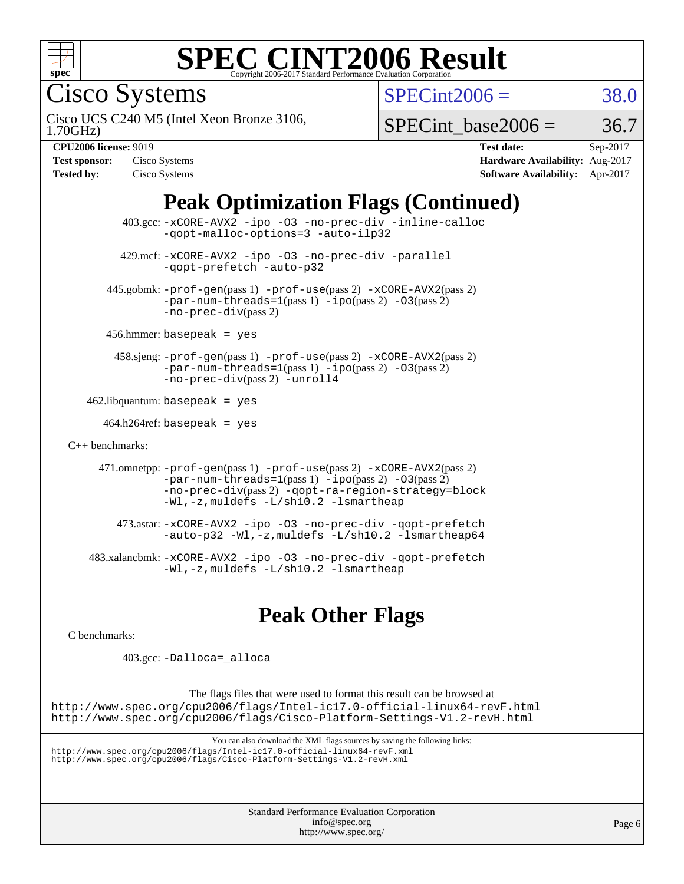

#### **[SPEC CINT2006 Result](http://www.spec.org/auto/cpu2006/Docs/result-fields.html#SPECCINT2006Result)** Copyright 2006-2017 Standard Performance Evaluation C

Cisco Systems

 $SPECint2006 = 38.0$  $SPECint2006 = 38.0$ 

1.70GHz) Cisco UCS C240 M5 (Intel Xeon Bronze 3106,

SPECint base2006 =  $36.7$ 

| <b>Test sponsor:</b> | Cisco Systems |
|----------------------|---------------|
| <b>Tested by:</b>    | Cisco Systems |

**[CPU2006 license:](http://www.spec.org/auto/cpu2006/Docs/result-fields.html#CPU2006license)** 9019 **[Test date:](http://www.spec.org/auto/cpu2006/Docs/result-fields.html#Testdate)** Sep-2017 **[Hardware Availability:](http://www.spec.org/auto/cpu2006/Docs/result-fields.html#HardwareAvailability)** Aug-2017 **[Software Availability:](http://www.spec.org/auto/cpu2006/Docs/result-fields.html#SoftwareAvailability)** Apr-2017

## **[Peak Optimization Flags \(Continued\)](http://www.spec.org/auto/cpu2006/Docs/result-fields.html#PeakOptimizationFlags)**

 403.gcc: [-xCORE-AVX2](http://www.spec.org/cpu2006/results/res2017q4/cpu2006-20170919-50240.flags.html#user_peakOPTIMIZE403_gcc_f-xCORE-AVX2) [-ipo](http://www.spec.org/cpu2006/results/res2017q4/cpu2006-20170919-50240.flags.html#user_peakOPTIMIZE403_gcc_f-ipo) [-O3](http://www.spec.org/cpu2006/results/res2017q4/cpu2006-20170919-50240.flags.html#user_peakOPTIMIZE403_gcc_f-O3) [-no-prec-div](http://www.spec.org/cpu2006/results/res2017q4/cpu2006-20170919-50240.flags.html#user_peakOPTIMIZE403_gcc_f-no-prec-div) [-inline-calloc](http://www.spec.org/cpu2006/results/res2017q4/cpu2006-20170919-50240.flags.html#user_peakCOPTIMIZE403_gcc_f-inline-calloc) [-qopt-malloc-options=3](http://www.spec.org/cpu2006/results/res2017q4/cpu2006-20170919-50240.flags.html#user_peakCOPTIMIZE403_gcc_f-qopt-malloc-options_0fcb435012e78f27d57f473818e45fe4) [-auto-ilp32](http://www.spec.org/cpu2006/results/res2017q4/cpu2006-20170919-50240.flags.html#user_peakCOPTIMIZE403_gcc_f-auto-ilp32) 429.mcf: [-xCORE-AVX2](http://www.spec.org/cpu2006/results/res2017q4/cpu2006-20170919-50240.flags.html#user_peakOPTIMIZE429_mcf_f-xCORE-AVX2) [-ipo](http://www.spec.org/cpu2006/results/res2017q4/cpu2006-20170919-50240.flags.html#user_peakOPTIMIZE429_mcf_f-ipo) [-O3](http://www.spec.org/cpu2006/results/res2017q4/cpu2006-20170919-50240.flags.html#user_peakOPTIMIZE429_mcf_f-O3) [-no-prec-div](http://www.spec.org/cpu2006/results/res2017q4/cpu2006-20170919-50240.flags.html#user_peakOPTIMIZE429_mcf_f-no-prec-div) [-parallel](http://www.spec.org/cpu2006/results/res2017q4/cpu2006-20170919-50240.flags.html#user_peakCOPTIMIZE429_mcf_f-parallel) [-qopt-prefetch](http://www.spec.org/cpu2006/results/res2017q4/cpu2006-20170919-50240.flags.html#user_peakCOPTIMIZE429_mcf_f-qopt-prefetch) [-auto-p32](http://www.spec.org/cpu2006/results/res2017q4/cpu2006-20170919-50240.flags.html#user_peakCOPTIMIZE429_mcf_f-auto-p32) 445.gobmk: [-prof-gen](http://www.spec.org/cpu2006/results/res2017q4/cpu2006-20170919-50240.flags.html#user_peakPASS1_CFLAGSPASS1_LDCFLAGS445_gobmk_prof_gen_e43856698f6ca7b7e442dfd80e94a8fc)(pass 1) [-prof-use](http://www.spec.org/cpu2006/results/res2017q4/cpu2006-20170919-50240.flags.html#user_peakPASS2_CFLAGSPASS2_LDCFLAGS445_gobmk_prof_use_bccf7792157ff70d64e32fe3e1250b55)(pass 2) [-xCORE-AVX2](http://www.spec.org/cpu2006/results/res2017q4/cpu2006-20170919-50240.flags.html#user_peakPASS2_CFLAGSPASS2_LDCFLAGS445_gobmk_f-xCORE-AVX2)(pass 2)  $-par-num-threads=1(pass 1) -ipo(pass 2) -O3(pass 2)$  $-par-num-threads=1(pass 1) -ipo(pass 2) -O3(pass 2)$  $-par-num-threads=1(pass 1) -ipo(pass 2) -O3(pass 2)$  $-par-num-threads=1(pass 1) -ipo(pass 2) -O3(pass 2)$  $-par-num-threads=1(pass 1) -ipo(pass 2) -O3(pass 2)$  $-par-num-threads=1(pass 1) -ipo(pass 2) -O3(pass 2)$ [-no-prec-div](http://www.spec.org/cpu2006/results/res2017q4/cpu2006-20170919-50240.flags.html#user_peakPASS2_CFLAGSPASS2_LDCFLAGS445_gobmk_f-no-prec-div)(pass 2) 456.hmmer: basepeak = yes 458.sjeng: [-prof-gen](http://www.spec.org/cpu2006/results/res2017q4/cpu2006-20170919-50240.flags.html#user_peakPASS1_CFLAGSPASS1_LDCFLAGS458_sjeng_prof_gen_e43856698f6ca7b7e442dfd80e94a8fc)(pass 1) [-prof-use](http://www.spec.org/cpu2006/results/res2017q4/cpu2006-20170919-50240.flags.html#user_peakPASS2_CFLAGSPASS2_LDCFLAGS458_sjeng_prof_use_bccf7792157ff70d64e32fe3e1250b55)(pass 2) [-xCORE-AVX2](http://www.spec.org/cpu2006/results/res2017q4/cpu2006-20170919-50240.flags.html#user_peakPASS2_CFLAGSPASS2_LDCFLAGS458_sjeng_f-xCORE-AVX2)(pass 2) [-par-num-threads=1](http://www.spec.org/cpu2006/results/res2017q4/cpu2006-20170919-50240.flags.html#user_peakPASS1_CFLAGSPASS1_LDCFLAGS458_sjeng_par_num_threads_786a6ff141b4e9e90432e998842df6c2)(pass 1) [-ipo](http://www.spec.org/cpu2006/results/res2017q4/cpu2006-20170919-50240.flags.html#user_peakPASS2_CFLAGSPASS2_LDCFLAGS458_sjeng_f-ipo)(pass 2) [-O3](http://www.spec.org/cpu2006/results/res2017q4/cpu2006-20170919-50240.flags.html#user_peakPASS2_CFLAGSPASS2_LDCFLAGS458_sjeng_f-O3)(pass 2) [-no-prec-div](http://www.spec.org/cpu2006/results/res2017q4/cpu2006-20170919-50240.flags.html#user_peakPASS2_CFLAGSPASS2_LDCFLAGS458_sjeng_f-no-prec-div)(pass 2) [-unroll4](http://www.spec.org/cpu2006/results/res2017q4/cpu2006-20170919-50240.flags.html#user_peakCOPTIMIZE458_sjeng_f-unroll_4e5e4ed65b7fd20bdcd365bec371b81f)  $462$ .libquantum: basepeak = yes 464.h264ref: basepeak = yes [C++ benchmarks:](http://www.spec.org/auto/cpu2006/Docs/result-fields.html#CXXbenchmarks) 471.omnetpp: [-prof-gen](http://www.spec.org/cpu2006/results/res2017q4/cpu2006-20170919-50240.flags.html#user_peakPASS1_CXXFLAGSPASS1_LDCXXFLAGS471_omnetpp_prof_gen_e43856698f6ca7b7e442dfd80e94a8fc)(pass 1) [-prof-use](http://www.spec.org/cpu2006/results/res2017q4/cpu2006-20170919-50240.flags.html#user_peakPASS2_CXXFLAGSPASS2_LDCXXFLAGS471_omnetpp_prof_use_bccf7792157ff70d64e32fe3e1250b55)(pass 2) [-xCORE-AVX2](http://www.spec.org/cpu2006/results/res2017q4/cpu2006-20170919-50240.flags.html#user_peakPASS2_CXXFLAGSPASS2_LDCXXFLAGS471_omnetpp_f-xCORE-AVX2)(pass 2)  $-par-num-threads=1(pass 1) -ipo(pass 2) -O3(pass 2)$  $-par-num-threads=1(pass 1) -ipo(pass 2) -O3(pass 2)$  $-par-num-threads=1(pass 1) -ipo(pass 2) -O3(pass 2)$  $-par-num-threads=1(pass 1) -ipo(pass 2) -O3(pass 2)$  $-par-num-threads=1(pass 1) -ipo(pass 2) -O3(pass 2)$  $-par-num-threads=1(pass 1) -ipo(pass 2) -O3(pass 2)$ [-no-prec-div](http://www.spec.org/cpu2006/results/res2017q4/cpu2006-20170919-50240.flags.html#user_peakPASS2_CXXFLAGSPASS2_LDCXXFLAGS471_omnetpp_f-no-prec-div)(pass 2) [-qopt-ra-region-strategy=block](http://www.spec.org/cpu2006/results/res2017q4/cpu2006-20170919-50240.flags.html#user_peakCXXOPTIMIZE471_omnetpp_f-qopt-ra-region-strategy_0f7b543d62da454b380160c0e3b28f94) [-Wl,-z,muldefs](http://www.spec.org/cpu2006/results/res2017q4/cpu2006-20170919-50240.flags.html#user_peakEXTRA_LDFLAGS471_omnetpp_link_force_multiple1_74079c344b956b9658436fd1b6dd3a8a) [-L/sh10.2 -lsmartheap](http://www.spec.org/cpu2006/results/res2017q4/cpu2006-20170919-50240.flags.html#user_peakEXTRA_LIBS471_omnetpp_SmartHeap_b831f2d313e2fffa6dfe3f00ffc1f1c0) 473.astar: [-xCORE-AVX2](http://www.spec.org/cpu2006/results/res2017q4/cpu2006-20170919-50240.flags.html#user_peakOPTIMIZE473_astar_f-xCORE-AVX2) [-ipo](http://www.spec.org/cpu2006/results/res2017q4/cpu2006-20170919-50240.flags.html#user_peakOPTIMIZE473_astar_f-ipo) [-O3](http://www.spec.org/cpu2006/results/res2017q4/cpu2006-20170919-50240.flags.html#user_peakOPTIMIZE473_astar_f-O3) [-no-prec-div](http://www.spec.org/cpu2006/results/res2017q4/cpu2006-20170919-50240.flags.html#user_peakOPTIMIZE473_astar_f-no-prec-div) [-qopt-prefetch](http://www.spec.org/cpu2006/results/res2017q4/cpu2006-20170919-50240.flags.html#user_peakCXXOPTIMIZE473_astar_f-qopt-prefetch) [-auto-p32](http://www.spec.org/cpu2006/results/res2017q4/cpu2006-20170919-50240.flags.html#user_peakCXXOPTIMIZE473_astar_f-auto-p32) [-Wl,-z,muldefs](http://www.spec.org/cpu2006/results/res2017q4/cpu2006-20170919-50240.flags.html#user_peakEXTRA_LDFLAGS473_astar_link_force_multiple1_74079c344b956b9658436fd1b6dd3a8a) [-L/sh10.2 -lsmartheap64](http://www.spec.org/cpu2006/results/res2017q4/cpu2006-20170919-50240.flags.html#user_peakEXTRA_LIBS473_astar_SmartHeap64_63911d860fc08c15fa1d5bf319b9d8d5) 483.xalancbmk: [-xCORE-AVX2](http://www.spec.org/cpu2006/results/res2017q4/cpu2006-20170919-50240.flags.html#user_peakOPTIMIZE483_xalancbmk_f-xCORE-AVX2) [-ipo](http://www.spec.org/cpu2006/results/res2017q4/cpu2006-20170919-50240.flags.html#user_peakOPTIMIZE483_xalancbmk_f-ipo) [-O3](http://www.spec.org/cpu2006/results/res2017q4/cpu2006-20170919-50240.flags.html#user_peakOPTIMIZE483_xalancbmk_f-O3) [-no-prec-div](http://www.spec.org/cpu2006/results/res2017q4/cpu2006-20170919-50240.flags.html#user_peakOPTIMIZE483_xalancbmk_f-no-prec-div) [-qopt-prefetch](http://www.spec.org/cpu2006/results/res2017q4/cpu2006-20170919-50240.flags.html#user_peakCXXOPTIMIZE483_xalancbmk_f-qopt-prefetch) [-Wl,-z,muldefs](http://www.spec.org/cpu2006/results/res2017q4/cpu2006-20170919-50240.flags.html#user_peakEXTRA_LDFLAGS483_xalancbmk_link_force_multiple1_74079c344b956b9658436fd1b6dd3a8a) [-L/sh10.2 -lsmartheap](http://www.spec.org/cpu2006/results/res2017q4/cpu2006-20170919-50240.flags.html#user_peakEXTRA_LIBS483_xalancbmk_SmartHeap_b831f2d313e2fffa6dfe3f00ffc1f1c0)

**[Peak Other Flags](http://www.spec.org/auto/cpu2006/Docs/result-fields.html#PeakOtherFlags)**

[C benchmarks](http://www.spec.org/auto/cpu2006/Docs/result-fields.html#Cbenchmarks):

403.gcc: [-Dalloca=\\_alloca](http://www.spec.org/cpu2006/results/res2017q4/cpu2006-20170919-50240.flags.html#b403.gcc_peakEXTRA_CFLAGS_Dalloca_be3056838c12de2578596ca5467af7f3)

The flags files that were used to format this result can be browsed at <http://www.spec.org/cpu2006/flags/Intel-ic17.0-official-linux64-revF.html> <http://www.spec.org/cpu2006/flags/Cisco-Platform-Settings-V1.2-revH.html>

You can also download the XML flags sources by saving the following links:

<http://www.spec.org/cpu2006/flags/Intel-ic17.0-official-linux64-revF.xml> <http://www.spec.org/cpu2006/flags/Cisco-Platform-Settings-V1.2-revH.xml>